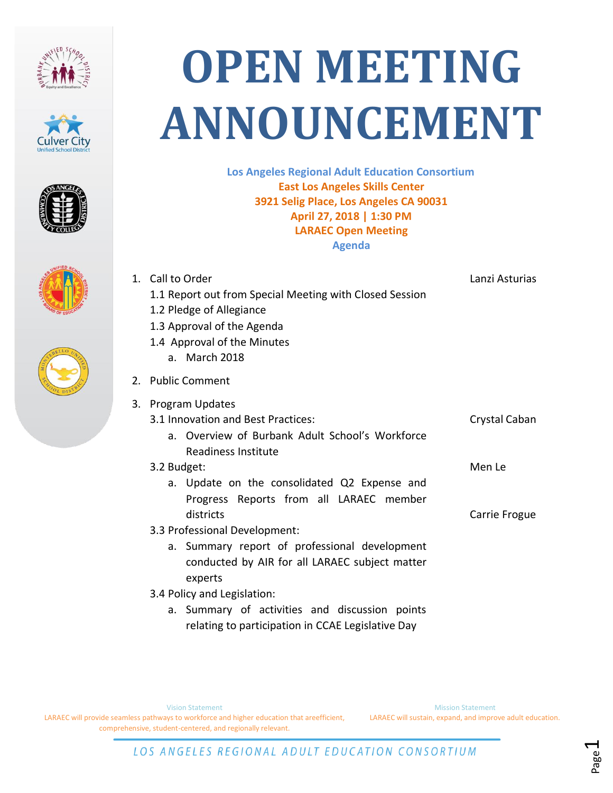









## **OPEN MEETING ANNOUNCEMENT**

**Los Angeles Regional Adult Education Consortium East Los Angeles Skills Center 3921 Selig Place, Los Angeles CA 90031 April 27, 2018 | 1:30 PM LARAEC Open Meeting Agenda**

|    | 1. Call to Order                                        | Lanzi Asturias |
|----|---------------------------------------------------------|----------------|
|    | 1.1 Report out from Special Meeting with Closed Session |                |
|    | 1.2 Pledge of Allegiance                                |                |
|    | 1.3 Approval of the Agenda                              |                |
|    | 1.4 Approval of the Minutes                             |                |
|    | a. March 2018                                           |                |
|    | 2. Public Comment                                       |                |
| 3. | <b>Program Updates</b>                                  |                |
|    | 3.1 Innovation and Best Practices:                      | Crystal Caban  |
|    | a. Overview of Burbank Adult School's Workforce         |                |
|    | Readiness Institute                                     |                |
|    | 3.2 Budget:                                             | Men Le         |
|    | a. Update on the consolidated Q2 Expense and            |                |
|    | Progress Reports from all LARAEC member                 |                |
|    | districts                                               | Carrie Frogue  |
|    | 3.3 Professional Development:                           |                |
|    | a. Summary report of professional development           |                |
|    | conducted by AIR for all LARAEC subject matter          |                |
|    | experts                                                 |                |
|    | 3.4 Policy and Legislation:                             |                |
|    | a. Summary of activities and discussion points          |                |
|    | relating to participation in CCAE Legislative Day       |                |

Mission Statement LARAEC will sustain, expand, and improve adult education.

> Page  $\overline{\phantom{0}}$